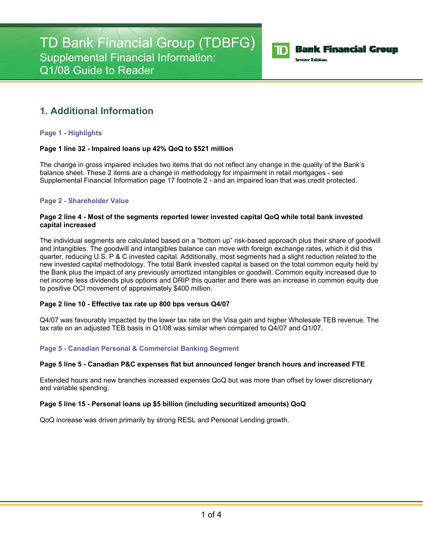

## **Bank Financial Group**

**Investor Relations** 

# **1. Additional Information**

## **Page 1 - Highlights**

## **Page 1 line 32 - Impaired loans up 42% QoQ to \$521 million**

The change in gross impaired includes two items that do not reflect any change in the quality of the Bank's balance sheet. These 2 items are a change in methodology for impairment in retail mortgages - see Supplemental Financial Information page 17 footnote 2 - and an impaired loan that was credit protected.

## **Page 2 - Shareholder Value**

## **Page 2 line 4 - Most of the segments reported lower invested capital QoQ while total bank invested capital increased**

The individual segments are calculated based on a "bottom up" risk-based approach plus their share of goodwill and intangibles. The goodwill and intangibles balance can move with foreign exchange rates, which it did this quarter, reducing U.S. P & C invested capital. Additionally, most segments had a slight reduction related to the new invested capital methodology. The total Bank invested capital is based on the total common equity held by the Bank plus the impact of any previously amortized intangibles or goodwill. Common equity increased due to net income less dividends plus options and DRIP this quarter and there was an increase in common equity due to positive OCI movement of approximately \$400 million.

## **Page 2 line 10 - Effective tax rate up 800 bps versus Q4/07**

Q4/07 was favourably impacted by the lower tax rate on the Visa gain and higher Wholesale TEB revenue. The tax rate on an adjusted TEB basis in Q1/08 was similar when compared to Q4/07 and Q1/07.

## **Page 5 - Canadian Personal & Commercial Banking Segment**

## **Page 5 line 5 - Canadian P&C expenses flat but announced longer branch hours and increased FTE**

Extended hours and new branches increased expenses QoQ but was more than offset by lower discretionary and variable spending.

## **Page 5 line 15 - Personal loans up \$5 billion (including securitized amounts) QoQ**

QoQ increase was driven primarily by strong RESL and Personal Lending growth.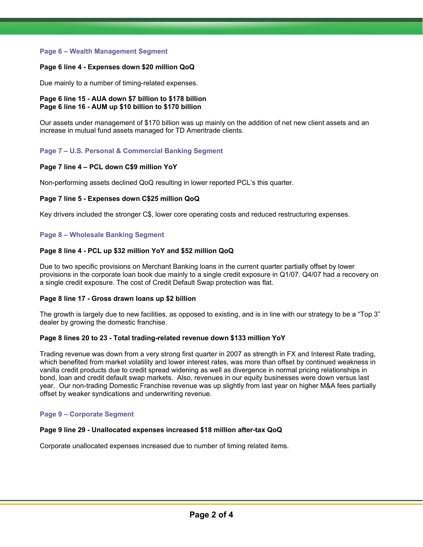## **Page 6 – Wealth Management Segment**

## **Page 6 line 4 - Expenses down \$20 million QoQ**

Due mainly to a number of timing-related expenses.

## **Page 6 line 15 - AUA down \$7 billion to \$178 billion Page 6 line 16 - AUM up \$10 billion to \$170 billion**

Our assets under management of \$170 billion was up mainly on the addition of net new client assets and an increase in mutual fund assets managed for TD Ameritrade clients.

## **Page 7 – U.S. Personal & Commercial Banking Segment**

## **Page 7 line 4 – PCL down C\$9 million YoY**

Non-performing assets declined QoQ resulting in lower reported PCL's this quarter.

## **Page 7 line 5 - Expenses down C\$25 million QoQ**

Key drivers included the stronger C\$, lower core operating costs and reduced restructuring expenses.

## **Page 8 – Wholesale Banking Segment**

## **Page 8 line 4 - PCL up \$32 million YoY and \$52 million QoQ**

Due to two specific provisions on Merchant Banking loans in the current quarter partially offset by lower provisions in the corporate loan book due mainly to a single credit exposure in Q1/07. Q4/07 had a recovery on a single credit exposure. The cost of Credit Default Swap protection was flat.

## **Page 8 line 17 - Gross drawn loans up \$2 billion**

The growth is largely due to new facilities, as opposed to existing, and is in line with our strategy to be a "Top 3" dealer by growing the domestic franchise.

## **Page 8 lines 20 to 23 - Total trading-related revenue down \$133 million YoY**

Trading revenue was down from a very strong first quarter in 2007 as strength in FX and Interest Rate trading, which benefited from market volatility and lower interest rates, was more than offset by continued weakness in vanilla credit products due to credit spread widening as well as divergence in normal pricing relationships in bond, loan and credit default swap markets. Also, revenues in our equity businesses were down versus last year. Our non-trading Domestic Franchise revenue was up slightly from last year on higher M&A fees partially offset by weaker syndications and underwriting revenue.

## **Page 9 – Corporate Segment**

## **Page 9 line 29 - Unallocated expenses increased \$18 million after-tax QoQ**

Corporate unallocated expenses increased due to number of timing related items.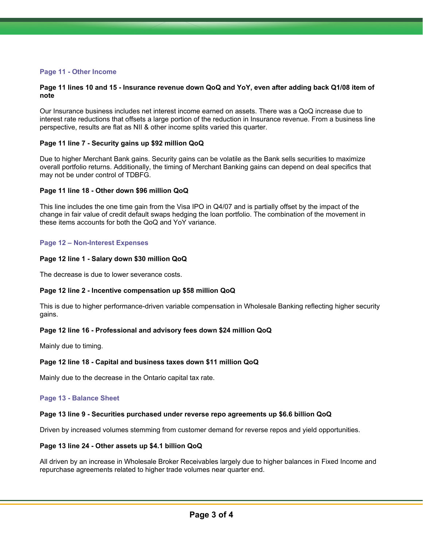## **Page 11 - Other Income**

#### **Page 11 lines 10 and 15 - Insurance revenue down QoQ and YoY, even after adding back Q1/08 item of note**

Our Insurance business includes net interest income earned on assets. There was a QoQ increase due to interest rate reductions that offsets a large portion of the reduction in Insurance revenue. From a business line perspective, results are flat as NII & other income splits varied this quarter.

## **Page 11 line 7 - Security gains up \$92 million QoQ**

Due to higher Merchant Bank gains. Security gains can be volatile as the Bank sells securities to maximize overall portfolio returns. Additionally, the timing of Merchant Banking gains can depend on deal specifics that may not be under control of TDBFG.

#### **Page 11 line 18 - Other down \$96 million QoQ**

This line includes the one time gain from the Visa IPO in Q4/07 and is partially offset by the impact of the change in fair value of credit default swaps hedging the loan portfolio. The combination of the movement in these items accounts for both the QoQ and YoY variance.

#### **Page 12 – Non-Interest Expenses**

#### **Page 12 line 1 - Salary down \$30 million QoQ**

The decrease is due to lower severance costs.

## **Page 12 line 2 - Incentive compensation up \$58 million QoQ**

This is due to higher performance-driven variable compensation in Wholesale Banking reflecting higher security gains.

## **Page 12 line 16 - Professional and advisory fees down \$24 million QoQ**

Mainly due to timing.

## **Page 12 line 18 - Capital and business taxes down \$11 million QoQ**

Mainly due to the decrease in the Ontario capital tax rate.

#### **Page 13 - Balance Sheet**

## **Page 13 line 9 - Securities purchased under reverse repo agreements up \$6.6 billion QoQ**

Driven by increased volumes stemming from customer demand for reverse repos and yield opportunities.

#### **Page 13 line 24 - Other assets up \$4.1 billion QoQ**

All driven by an increase in Wholesale Broker Receivables largely due to higher balances in Fixed Income and repurchase agreements related to higher trade volumes near quarter end.